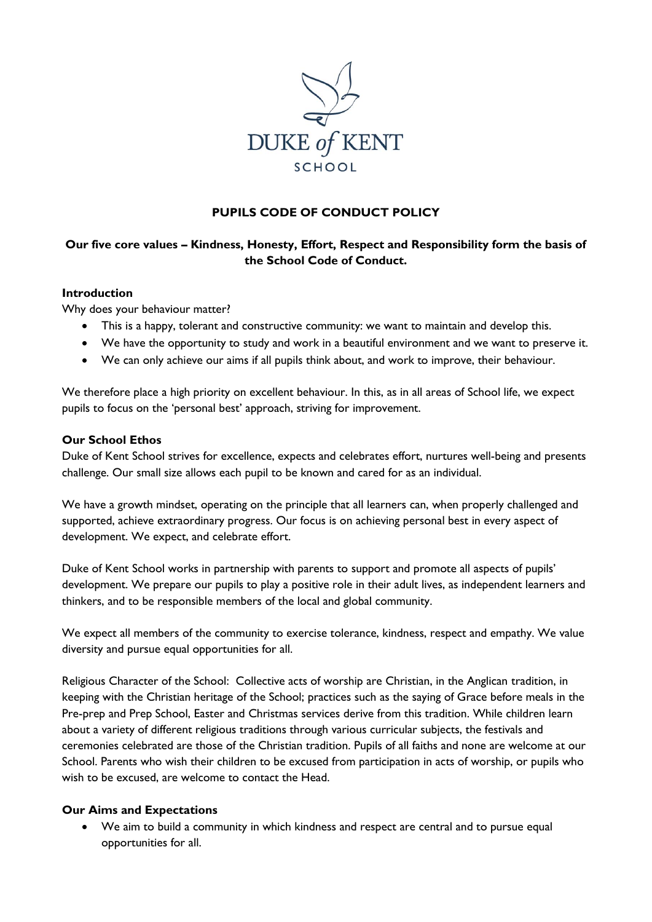

# **PUPILS CODE OF CONDUCT POLICY**

## **Our five core values – Kindness, Honesty, Effort, Respect and Responsibility form the basis of the School Code of Conduct.**

#### **Introduction**

Why does your behaviour matter?

- This is a happy, tolerant and constructive community: we want to maintain and develop this.
- We have the opportunity to study and work in a beautiful environment and we want to preserve it.
- We can only achieve our aims if all pupils think about, and work to improve, their behaviour.

We therefore place a high priority on excellent behaviour. In this, as in all areas of School life, we expect pupils to focus on the 'personal best' approach, striving for improvement.

### **Our School Ethos**

Duke of Kent School strives for excellence, expects and celebrates effort, nurtures well-being and presents challenge. Our small size allows each pupil to be known and cared for as an individual.

We have a growth mindset, operating on the principle that all learners can, when properly challenged and supported, achieve extraordinary progress. Our focus is on achieving personal best in every aspect of development. We expect, and celebrate effort.

Duke of Kent School works in partnership with parents to support and promote all aspects of pupils' development. We prepare our pupils to play a positive role in their adult lives, as independent learners and thinkers, and to be responsible members of the local and global community.

We expect all members of the community to exercise tolerance, kindness, respect and empathy. We value diversity and pursue equal opportunities for all.

Religious Character of the School: Collective acts of worship are Christian, in the Anglican tradition, in keeping with the Christian heritage of the School; practices such as the saying of Grace before meals in the Pre-prep and Prep School, Easter and Christmas services derive from this tradition. While children learn about a variety of different religious traditions through various curricular subjects, the festivals and ceremonies celebrated are those of the Christian tradition. Pupils of all faiths and none are welcome at our School. Parents who wish their children to be excused from participation in acts of worship, or pupils who wish to be excused, are welcome to contact the Head.

#### **Our Aims and Expectations**

 We aim to build a community in which kindness and respect are central and to pursue equal opportunities for all.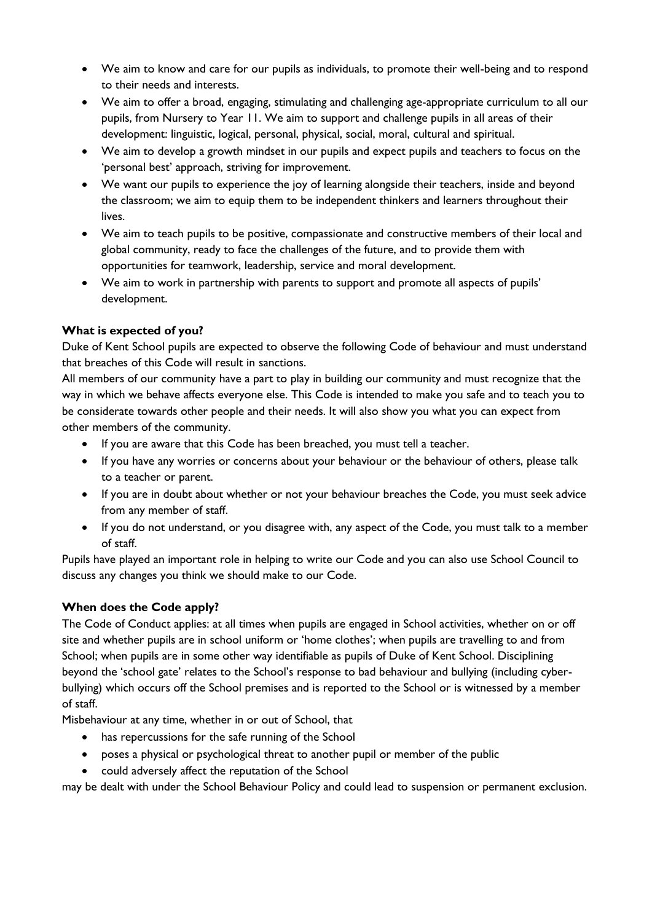- We aim to know and care for our pupils as individuals, to promote their well-being and to respond to their needs and interests.
- We aim to offer a broad, engaging, stimulating and challenging age-appropriate curriculum to all our pupils, from Nursery to Year 11. We aim to support and challenge pupils in all areas of their development: linguistic, logical, personal, physical, social, moral, cultural and spiritual.
- We aim to develop a growth mindset in our pupils and expect pupils and teachers to focus on the 'personal best' approach, striving for improvement.
- We want our pupils to experience the joy of learning alongside their teachers, inside and beyond the classroom; we aim to equip them to be independent thinkers and learners throughout their lives.
- We aim to teach pupils to be positive, compassionate and constructive members of their local and global community, ready to face the challenges of the future, and to provide them with opportunities for teamwork, leadership, service and moral development.
- We aim to work in partnership with parents to support and promote all aspects of pupils' development.

# **What is expected of you?**

Duke of Kent School pupils are expected to observe the following Code of behaviour and must understand that breaches of this Code will result in sanctions.

All members of our community have a part to play in building our community and must recognize that the way in which we behave affects everyone else. This Code is intended to make you safe and to teach you to be considerate towards other people and their needs. It will also show you what you can expect from other members of the community.

- If you are aware that this Code has been breached, you must tell a teacher.
- If you have any worries or concerns about your behaviour or the behaviour of others, please talk to a teacher or parent.
- If you are in doubt about whether or not your behaviour breaches the Code, you must seek advice from any member of staff.
- If you do not understand, or you disagree with, any aspect of the Code, you must talk to a member of staff.

Pupils have played an important role in helping to write our Code and you can also use School Council to discuss any changes you think we should make to our Code.

# **When does the Code apply?**

The Code of Conduct applies: at all times when pupils are engaged in School activities, whether on or off site and whether pupils are in school uniform or 'home clothes'; when pupils are travelling to and from School; when pupils are in some other way identifiable as pupils of Duke of Kent School. Disciplining beyond the 'school gate' relates to the School's response to bad behaviour and bullying (including cyberbullying) which occurs off the School premises and is reported to the School or is witnessed by a member of staff.

Misbehaviour at any time, whether in or out of School, that

- has repercussions for the safe running of the School
- poses a physical or psychological threat to another pupil or member of the public
- could adversely affect the reputation of the School

may be dealt with under the School Behaviour Policy and could lead to suspension or permanent exclusion.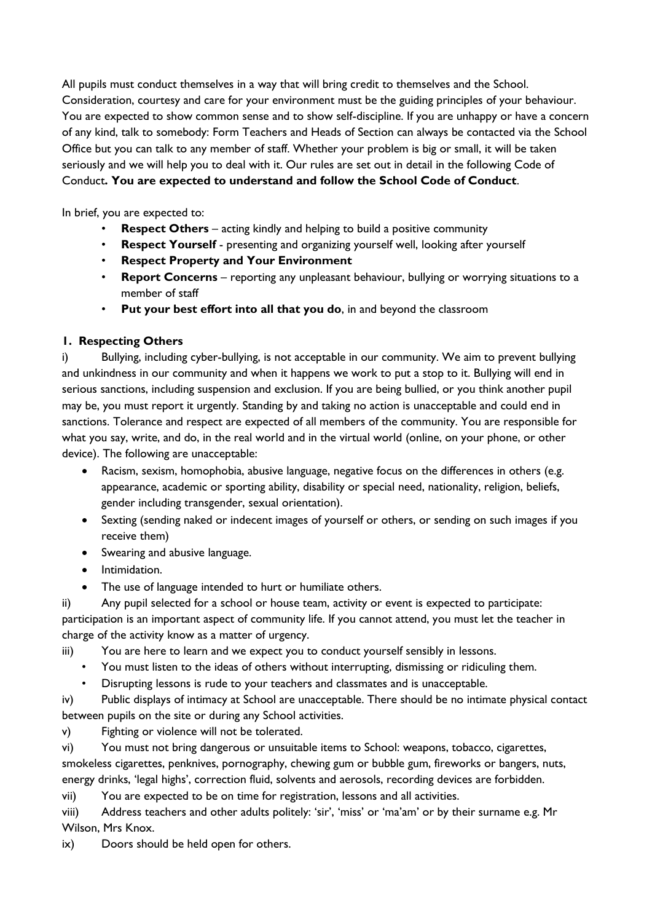All pupils must conduct themselves in a way that will bring credit to themselves and the School. Consideration, courtesy and care for your environment must be the guiding principles of your behaviour. You are expected to show common sense and to show self-discipline. If you are unhappy or have a concern of any kind, talk to somebody: Form Teachers and Heads of Section can always be contacted via the School Office but you can talk to any member of staff. Whether your problem is big or small, it will be taken seriously and we will help you to deal with it. Our rules are set out in detail in the following Code of Conduct**. You are expected to understand and follow the School Code of Conduct**.

In brief, you are expected to:

- **Respect Others** acting kindly and helping to build a positive community
- **Respect Yourself** presenting and organizing yourself well, looking after yourself
- **Respect Property and Your Environment**
- **Report Concerns** reporting any unpleasant behaviour, bullying or worrying situations to a member of staff
- **Put your best effort into all that you do**, in and beyond the classroom

### **1. Respecting Others**

i) Bullying, including cyber-bullying, is not acceptable in our community. We aim to prevent bullying and unkindness in our community and when it happens we work to put a stop to it. Bullying will end in serious sanctions, including suspension and exclusion. If you are being bullied, or you think another pupil may be, you must report it urgently. Standing by and taking no action is unacceptable and could end in sanctions. Tolerance and respect are expected of all members of the community. You are responsible for what you say, write, and do, in the real world and in the virtual world (online, on your phone, or other device). The following are unacceptable:

- Racism, sexism, homophobia, abusive language, negative focus on the differences in others (e.g. appearance, academic or sporting ability, disability or special need, nationality, religion, beliefs, gender including transgender, sexual orientation).
- Sexting (sending naked or indecent images of yourself or others, or sending on such images if you receive them)
- Swearing and abusive language.
- $\bullet$  Intimidation.
- The use of language intended to hurt or humiliate others.

ii) Any pupil selected for a school or house team, activity or event is expected to participate: participation is an important aspect of community life. If you cannot attend, you must let the teacher in charge of the activity know as a matter of urgency.

- iii) You are here to learn and we expect you to conduct yourself sensibly in lessons.
	- You must listen to the ideas of others without interrupting, dismissing or ridiculing them.
	- Disrupting lessons is rude to your teachers and classmates and is unacceptable.

iv) Public displays of intimacy at School are unacceptable. There should be no intimate physical contact between pupils on the site or during any School activities.

v) Fighting or violence will not be tolerated.

vi) You must not bring dangerous or unsuitable items to School: weapons, tobacco, cigarettes, smokeless cigarettes, penknives, pornography, chewing gum or bubble gum, fireworks or bangers, nuts, energy drinks, 'legal highs', correction fluid, solvents and aerosols, recording devices are forbidden.

vii) You are expected to be on time for registration, lessons and all activities.

viii) Address teachers and other adults politely: 'sir', 'miss' or 'ma'am' or by their surname e.g. Mr Wilson, Mrs Knox.

ix) Doors should be held open for others.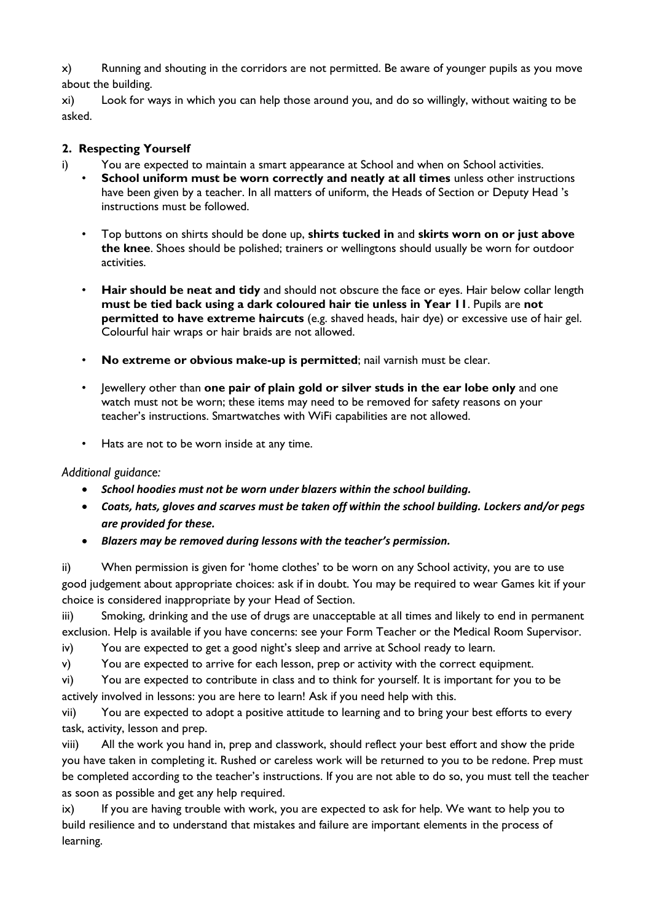x) Running and shouting in the corridors are not permitted. Be aware of younger pupils as you move about the building.

xi) Look for ways in which you can help those around you, and do so willingly, without waiting to be asked.

### **2. Respecting Yourself**

- i) You are expected to maintain a smart appearance at School and when on School activities.
	- **School uniform must be worn correctly and neatly at all times** unless other instructions have been given by a teacher. In all matters of uniform, the Heads of Section or Deputy Head 's instructions must be followed.
	- Top buttons on shirts should be done up, **shirts tucked in** and **skirts worn on or just above the knee**. Shoes should be polished; trainers or wellingtons should usually be worn for outdoor activities.
	- **Hair should be neat and tidy** and should not obscure the face or eyes. Hair below collar length **must be tied back using a dark coloured hair tie unless in Year 11**. Pupils are **not permitted to have extreme haircuts** (e.g. shaved heads, hair dye) or excessive use of hair gel. Colourful hair wraps or hair braids are not allowed.
	- **No extreme or obvious make-up is permitted**; nail varnish must be clear.
	- Jewellery other than **one pair of plain gold or silver studs in the ear lobe only** and one watch must not be worn; these items may need to be removed for safety reasons on your teacher's instructions. Smartwatches with WiFi capabilities are not allowed.
	- Hats are not to be worn inside at any time.

### *Additional guidance:*

- *School hoodies must not be worn under blazers within the school building.*
- *Coats, hats, gloves and scarves must be taken off within the school building. Lockers and/or pegs are provided for these.*
- *Blazers may be removed during lessons with the teacher's permission.*

ii) When permission is given for 'home clothes' to be worn on any School activity, you are to use good judgement about appropriate choices: ask if in doubt. You may be required to wear Games kit if your choice is considered inappropriate by your Head of Section.

iii) Smoking, drinking and the use of drugs are unacceptable at all times and likely to end in permanent exclusion. Help is available if you have concerns: see your Form Teacher or the Medical Room Supervisor.

iv) You are expected to get a good night's sleep and arrive at School ready to learn.

v) You are expected to arrive for each lesson, prep or activity with the correct equipment.

vi) You are expected to contribute in class and to think for yourself. It is important for you to be actively involved in lessons: you are here to learn! Ask if you need help with this.

vii) You are expected to adopt a positive attitude to learning and to bring your best efforts to every task, activity, lesson and prep.

viii) All the work you hand in, prep and classwork, should reflect your best effort and show the pride you have taken in completing it. Rushed or careless work will be returned to you to be redone. Prep must be completed according to the teacher's instructions. If you are not able to do so, you must tell the teacher as soon as possible and get any help required.

ix) If you are having trouble with work, you are expected to ask for help. We want to help you to build resilience and to understand that mistakes and failure are important elements in the process of learning.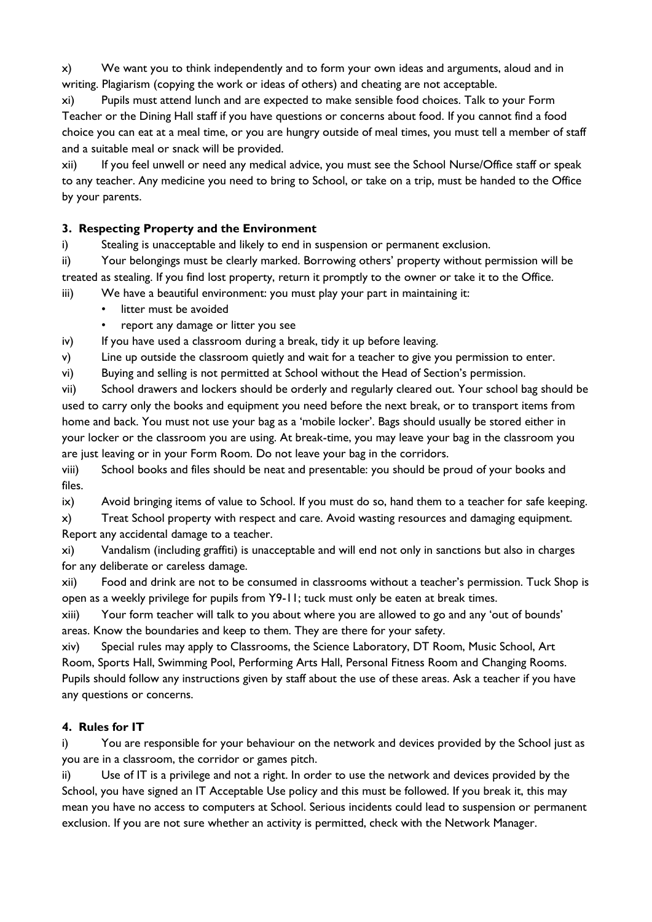x) We want you to think independently and to form your own ideas and arguments, aloud and in writing. Plagiarism (copying the work or ideas of others) and cheating are not acceptable.

xi) Pupils must attend lunch and are expected to make sensible food choices. Talk to your Form Teacher or the Dining Hall staff if you have questions or concerns about food. If you cannot find a food choice you can eat at a meal time, or you are hungry outside of meal times, you must tell a member of staff and a suitable meal or snack will be provided.

xii) If you feel unwell or need any medical advice, you must see the School Nurse/Office staff or speak to any teacher. Any medicine you need to bring to School, or take on a trip, must be handed to the Office by your parents.

# **3. Respecting Property and the Environment**

i) Stealing is unacceptable and likely to end in suspension or permanent exclusion.

ii) Your belongings must be clearly marked. Borrowing others' property without permission will be treated as stealing. If you find lost property, return it promptly to the owner or take it to the Office.

- iii) We have a beautiful environment: you must play your part in maintaining it:
	- litter must be avoided
	- report any damage or litter you see

iv) If you have used a classroom during a break, tidy it up before leaving.

v) Line up outside the classroom quietly and wait for a teacher to give you permission to enter.

vi) Buying and selling is not permitted at School without the Head of Section's permission.

vii) School drawers and lockers should be orderly and regularly cleared out. Your school bag should be used to carry only the books and equipment you need before the next break, or to transport items from home and back. You must not use your bag as a 'mobile locker'. Bags should usually be stored either in your locker or the classroom you are using. At break-time, you may leave your bag in the classroom you are just leaving or in your Form Room. Do not leave your bag in the corridors.

viii) School books and files should be neat and presentable: you should be proud of your books and files.

ix) Avoid bringing items of value to School. If you must do so, hand them to a teacher for safe keeping.

x) Treat School property with respect and care. Avoid wasting resources and damaging equipment. Report any accidental damage to a teacher.

xi) Vandalism (including graffiti) is unacceptable and will end not only in sanctions but also in charges for any deliberate or careless damage.

xii) Food and drink are not to be consumed in classrooms without a teacher's permission. Tuck Shop is open as a weekly privilege for pupils from Y9-11; tuck must only be eaten at break times.

xiii) Your form teacher will talk to you about where you are allowed to go and any 'out of bounds' areas. Know the boundaries and keep to them. They are there for your safety.

xiv) Special rules may apply to Classrooms, the Science Laboratory, DT Room, Music School, Art Room, Sports Hall, Swimming Pool, Performing Arts Hall, Personal Fitness Room and Changing Rooms. Pupils should follow any instructions given by staff about the use of these areas. Ask a teacher if you have any questions or concerns.

# **4. Rules for IT**

i) You are responsible for your behaviour on the network and devices provided by the School just as you are in a classroom, the corridor or games pitch.

ii) Use of IT is a privilege and not a right. In order to use the network and devices provided by the School, you have signed an IT Acceptable Use policy and this must be followed. If you break it, this may mean you have no access to computers at School. Serious incidents could lead to suspension or permanent exclusion. If you are not sure whether an activity is permitted, check with the Network Manager.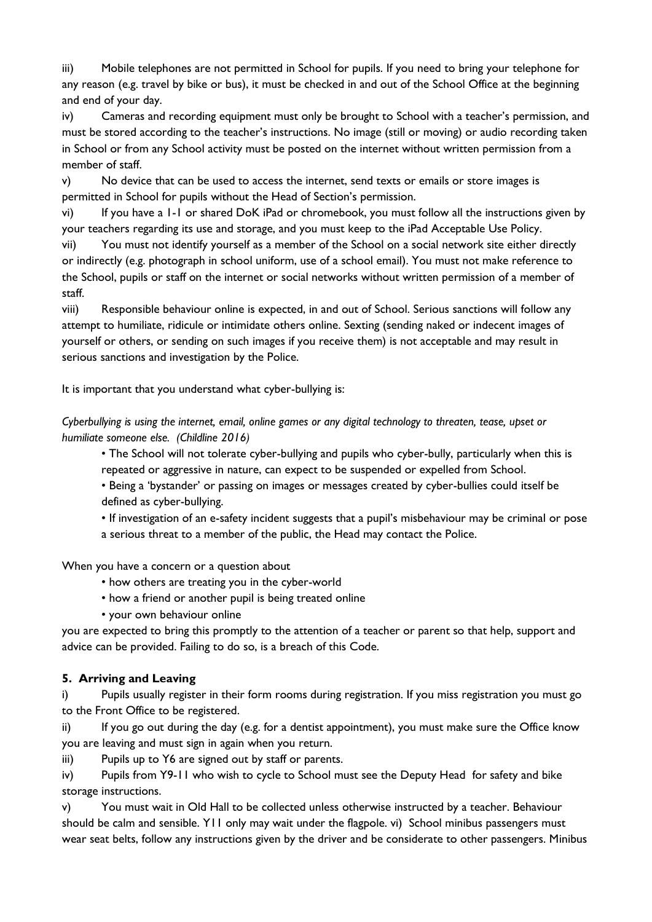iii) Mobile telephones are not permitted in School for pupils. If you need to bring your telephone for any reason (e.g. travel by bike or bus), it must be checked in and out of the School Office at the beginning and end of your day.

iv) Cameras and recording equipment must only be brought to School with a teacher's permission, and must be stored according to the teacher's instructions. No image (still or moving) or audio recording taken in School or from any School activity must be posted on the internet without written permission from a member of staff.

v) No device that can be used to access the internet, send texts or emails or store images is permitted in School for pupils without the Head of Section's permission.

vi) If you have a 1-1 or shared DoK iPad or chromebook, you must follow all the instructions given by your teachers regarding its use and storage, and you must keep to the iPad Acceptable Use Policy.

vii) You must not identify yourself as a member of the School on a social network site either directly or indirectly (e.g. photograph in school uniform, use of a school email). You must not make reference to the School, pupils or staff on the internet or social networks without written permission of a member of staff.

viii) Responsible behaviour online is expected, in and out of School. Serious sanctions will follow any attempt to humiliate, ridicule or intimidate others online. Sexting (sending naked or indecent images of yourself or others, or sending on such images if you receive them) is not acceptable and may result in serious sanctions and investigation by the Police.

It is important that you understand what cyber-bullying is:

*Cyberbullying is using the internet, email, online games or any digital technology to threaten, tease, upset or humiliate someone else. (Childline 2016)*

• The School will not tolerate cyber-bullying and pupils who cyber-bully, particularly when this is repeated or aggressive in nature, can expect to be suspended or expelled from School.

• Being a 'bystander' or passing on images or messages created by cyber-bullies could itself be defined as cyber-bullying.

• If investigation of an e-safety incident suggests that a pupil's misbehaviour may be criminal or pose

a serious threat to a member of the public, the Head may contact the Police.

When you have a concern or a question about

- how others are treating you in the cyber-world
- how a friend or another pupil is being treated online
- your own behaviour online

you are expected to bring this promptly to the attention of a teacher or parent so that help, support and advice can be provided. Failing to do so, is a breach of this Code.

# **5. Arriving and Leaving**

i) Pupils usually register in their form rooms during registration. If you miss registration you must go to the Front Office to be registered.

ii) If you go out during the day (e.g. for a dentist appointment), you must make sure the Office know you are leaving and must sign in again when you return.

iii) Pupils up to Y6 are signed out by staff or parents.

iv) Pupils from Y9-11 who wish to cycle to School must see the Deputy Head for safety and bike storage instructions.

v) You must wait in Old Hall to be collected unless otherwise instructed by a teacher. Behaviour should be calm and sensible. Y11 only may wait under the flagpole. vi) School minibus passengers must wear seat belts, follow any instructions given by the driver and be considerate to other passengers. Minibus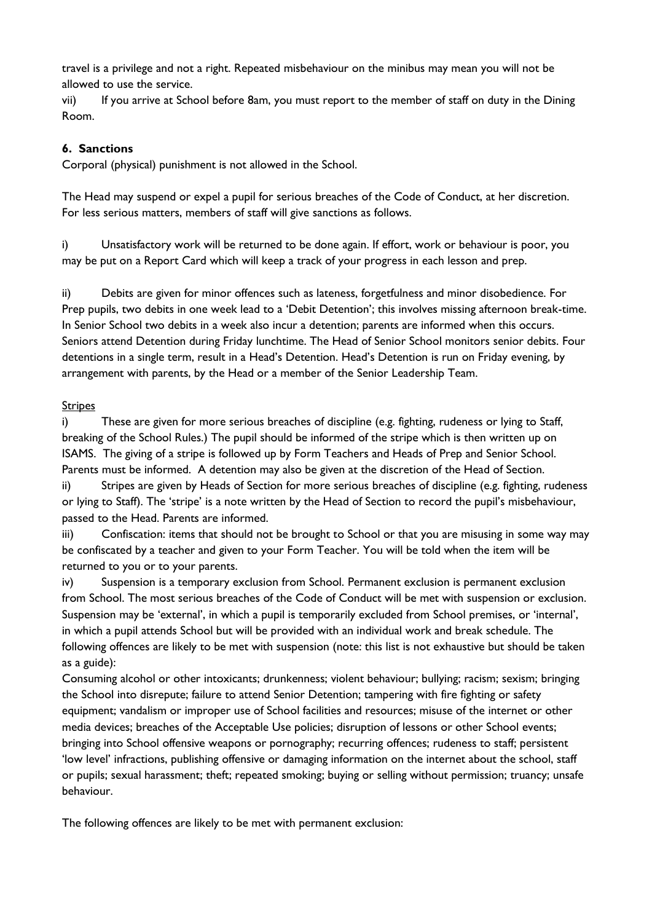travel is a privilege and not a right. Repeated misbehaviour on the minibus may mean you will not be allowed to use the service.

vii) If you arrive at School before 8am, you must report to the member of staff on duty in the Dining Room.

### **6. Sanctions**

Corporal (physical) punishment is not allowed in the School.

The Head may suspend or expel a pupil for serious breaches of the Code of Conduct, at her discretion. For less serious matters, members of staff will give sanctions as follows.

i) Unsatisfactory work will be returned to be done again. If effort, work or behaviour is poor, you may be put on a Report Card which will keep a track of your progress in each lesson and prep.

ii) Debits are given for minor offences such as lateness, forgetfulness and minor disobedience. For Prep pupils, two debits in one week lead to a 'Debit Detention'; this involves missing afternoon break-time. In Senior School two debits in a week also incur a detention; parents are informed when this occurs. Seniors attend Detention during Friday lunchtime. The Head of Senior School monitors senior debits. Four detentions in a single term, result in a Head's Detention. Head's Detention is run on Friday evening, by arrangement with parents, by the Head or a member of the Senior Leadership Team.

### Stripes

i) These are given for more serious breaches of discipline (e.g. fighting, rudeness or lying to Staff, breaking of the School Rules.) The pupil should be informed of the stripe which is then written up on ISAMS. The giving of a stripe is followed up by Form Teachers and Heads of Prep and Senior School. Parents must be informed. A detention may also be given at the discretion of the Head of Section.

ii) Stripes are given by Heads of Section for more serious breaches of discipline (e.g. fighting, rudeness or lying to Staff). The 'stripe' is a note written by the Head of Section to record the pupil's misbehaviour, passed to the Head. Parents are informed.

iii) Confiscation: items that should not be brought to School or that you are misusing in some way may be confiscated by a teacher and given to your Form Teacher. You will be told when the item will be returned to you or to your parents.

iv) Suspension is a temporary exclusion from School. Permanent exclusion is permanent exclusion from School. The most serious breaches of the Code of Conduct will be met with suspension or exclusion. Suspension may be 'external', in which a pupil is temporarily excluded from School premises, or 'internal', in which a pupil attends School but will be provided with an individual work and break schedule. The following offences are likely to be met with suspension (note: this list is not exhaustive but should be taken as a guide):

Consuming alcohol or other intoxicants; drunkenness; violent behaviour; bullying; racism; sexism; bringing the School into disrepute; failure to attend Senior Detention; tampering with fire fighting or safety equipment; vandalism or improper use of School facilities and resources; misuse of the internet or other media devices; breaches of the Acceptable Use policies; disruption of lessons or other School events; bringing into School offensive weapons or pornography; recurring offences; rudeness to staff; persistent 'low level' infractions, publishing offensive or damaging information on the internet about the school, staff or pupils; sexual harassment; theft; repeated smoking; buying or selling without permission; truancy; unsafe behaviour.

The following offences are likely to be met with permanent exclusion: